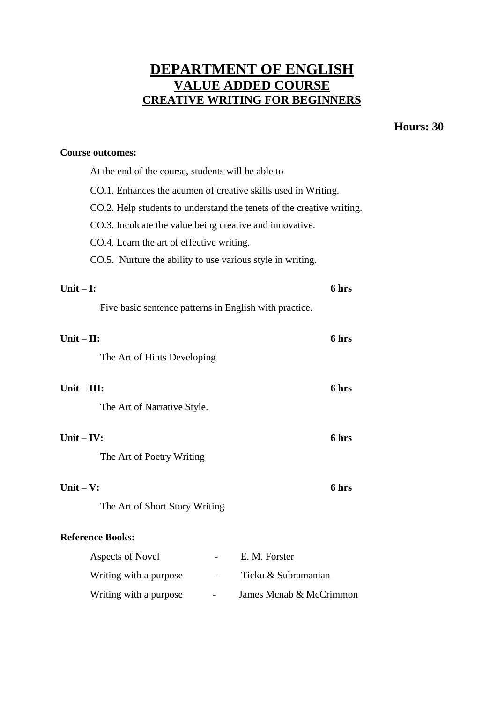# **DEPARTMENT OF ENGLISH VALUE ADDED COURSE CREATIVE WRITING FOR BEGINNERS**

## **Hours: 30**

#### **Course outcomes:**

| At the end of the course, students will be able to                    |       |  |  |  |  |  |
|-----------------------------------------------------------------------|-------|--|--|--|--|--|
| CO.1. Enhances the acumen of creative skills used in Writing.         |       |  |  |  |  |  |
| CO.2. Help students to understand the tenets of the creative writing. |       |  |  |  |  |  |
| CO.3. Inculcate the value being creative and innovative.              |       |  |  |  |  |  |
| CO.4. Learn the art of effective writing.                             |       |  |  |  |  |  |
| CO.5. Nurture the ability to use various style in writing.            |       |  |  |  |  |  |
|                                                                       |       |  |  |  |  |  |
| Unit $-$ I:                                                           | 6 hrs |  |  |  |  |  |
| Five basic sentence patterns in English with practice.                |       |  |  |  |  |  |
|                                                                       |       |  |  |  |  |  |
| Unit $-$ II:                                                          | 6 hrs |  |  |  |  |  |
| The Art of Hints Developing                                           |       |  |  |  |  |  |
| Unit $-$ III:                                                         | 6 hrs |  |  |  |  |  |
|                                                                       |       |  |  |  |  |  |
| The Art of Narrative Style.                                           |       |  |  |  |  |  |
| Unit $-$ IV:                                                          | 6 hrs |  |  |  |  |  |
| The Art of Poetry Writing                                             |       |  |  |  |  |  |
|                                                                       |       |  |  |  |  |  |
| Unit $-$ V:<br>6 hrs                                                  |       |  |  |  |  |  |
| The Art of Short Story Writing                                        |       |  |  |  |  |  |
|                                                                       |       |  |  |  |  |  |
| <b>Reference Books:</b>                                               |       |  |  |  |  |  |
| Aspects of Novel<br>E. M. Forster                                     |       |  |  |  |  |  |
| Writing with a purpose<br>Ticku & Subramanian                         |       |  |  |  |  |  |
| Writing with a purpose<br>James Mcnab & McCrimmon                     |       |  |  |  |  |  |
|                                                                       |       |  |  |  |  |  |